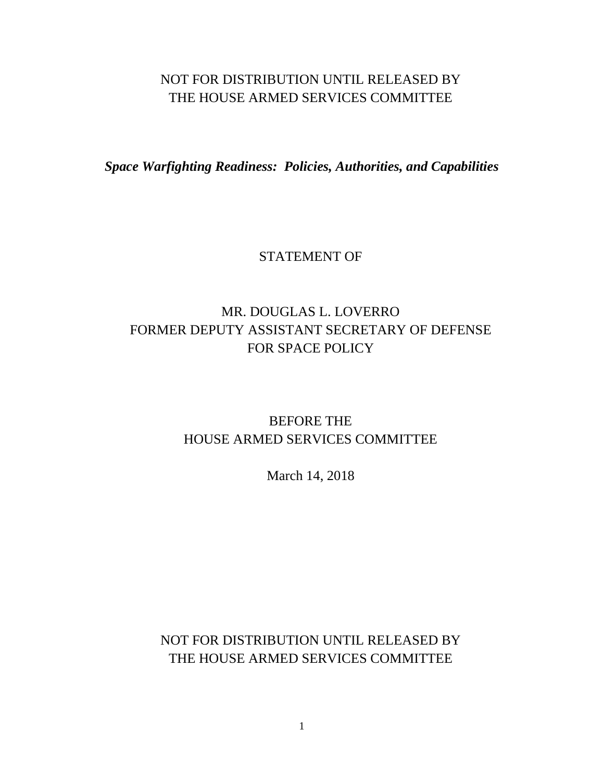## NOT FOR DISTRIBUTION UNTIL RELEASED BY THE HOUSE ARMED SERVICES COMMITTEE

*Space Warfighting Readiness: Policies, Authorities, and Capabilities*

## STATEMENT OF

# MR. DOUGLAS L. LOVERRO FORMER DEPUTY ASSISTANT SECRETARY OF DEFENSE FOR SPACE POLICY

## BEFORE THE HOUSE ARMED SERVICES COMMITTEE

March 14, 2018

NOT FOR DISTRIBUTION UNTIL RELEASED BY THE HOUSE ARMED SERVICES COMMITTEE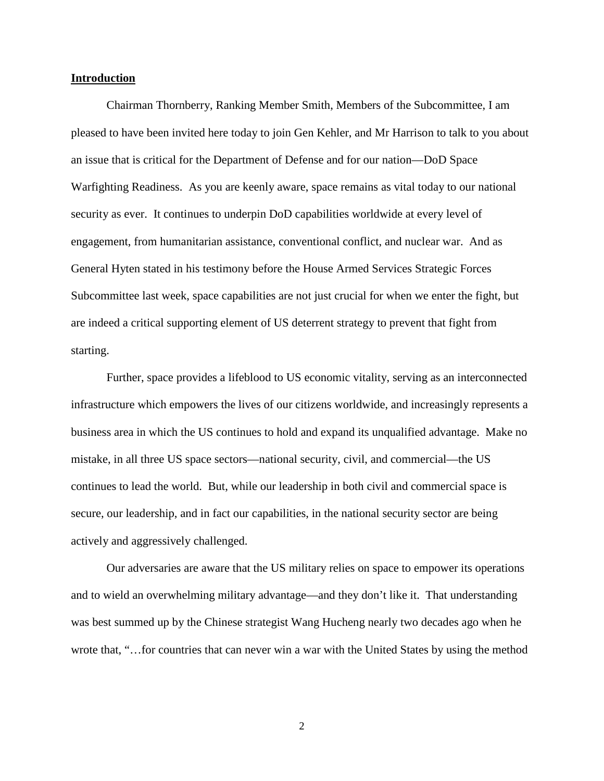### **Introduction**

Chairman Thornberry, Ranking Member Smith, Members of the Subcommittee, I am pleased to have been invited here today to join Gen Kehler, and Mr Harrison to talk to you about an issue that is critical for the Department of Defense and for our nation—DoD Space Warfighting Readiness. As you are keenly aware, space remains as vital today to our national security as ever. It continues to underpin DoD capabilities worldwide at every level of engagement, from humanitarian assistance, conventional conflict, and nuclear war. And as General Hyten stated in his testimony before the House Armed Services Strategic Forces Subcommittee last week, space capabilities are not just crucial for when we enter the fight, but are indeed a critical supporting element of US deterrent strategy to prevent that fight from starting.

Further, space provides a lifeblood to US economic vitality, serving as an interconnected infrastructure which empowers the lives of our citizens worldwide, and increasingly represents a business area in which the US continues to hold and expand its unqualified advantage. Make no mistake, in all three US space sectors—national security, civil, and commercial—the US continues to lead the world. But, while our leadership in both civil and commercial space is secure, our leadership, and in fact our capabilities, in the national security sector are being actively and aggressively challenged.

Our adversaries are aware that the US military relies on space to empower its operations and to wield an overwhelming military advantage—and they don't like it. That understanding was best summed up by the Chinese strategist Wang Hucheng nearly two decades ago when he wrote that, "…for countries that can never win a war with the United States by using the method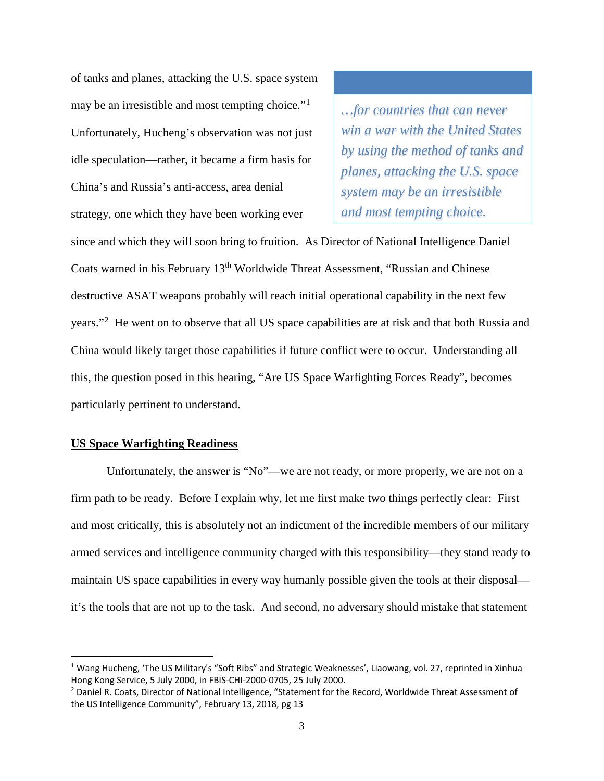of tanks and planes, attacking the U.S. space system may be an irresistible and most tempting choice."<sup>[1](#page-2-0)</sup> Unfortunately, Hucheng's observation was not just idle speculation—rather, it became a firm basis for China's and Russia's anti-access, area denial strategy, one which they have been working ever

*…for countries that can never win a war with the United States by using the method of tanks and planes, attacking the U.S. space system may be an irresistible and most tempting choice.*

since and which they will soon bring to fruition. As Director of National Intelligence Daniel Coats warned in his February 13th Worldwide Threat Assessment, "Russian and Chinese destructive ASAT weapons probably will reach initial operational capability in the next few years."[2](#page-2-1) He went on to observe that all US space capabilities are at risk and that both Russia and China would likely target those capabilities if future conflict were to occur. Understanding all this, the question posed in this hearing, "Are US Space Warfighting Forces Ready", becomes particularly pertinent to understand.

## **US Space Warfighting Readiness**

Unfortunately, the answer is "No"—we are not ready, or more properly, we are not on a firm path to be ready. Before I explain why, let me first make two things perfectly clear: First and most critically, this is absolutely not an indictment of the incredible members of our military armed services and intelligence community charged with this responsibility—they stand ready to maintain US space capabilities in every way humanly possible given the tools at their disposal it's the tools that are not up to the task. And second, no adversary should mistake that statement

<span id="page-2-0"></span><sup>&</sup>lt;sup>1</sup> Wang Hucheng, 'The US Military's "Soft Ribs" and Strategic Weaknesses', Liaowang, vol. 27, reprinted in Xinhua Hong Kong Service, 5 July 2000, in FBIS-CHI-2000-0705, 25 July 2000.

<span id="page-2-1"></span><sup>&</sup>lt;sup>2</sup> Daniel R. Coats, Director of National Intelligence, "Statement for the Record, Worldwide Threat Assessment of the US Intelligence Community", February 13, 2018, pg 13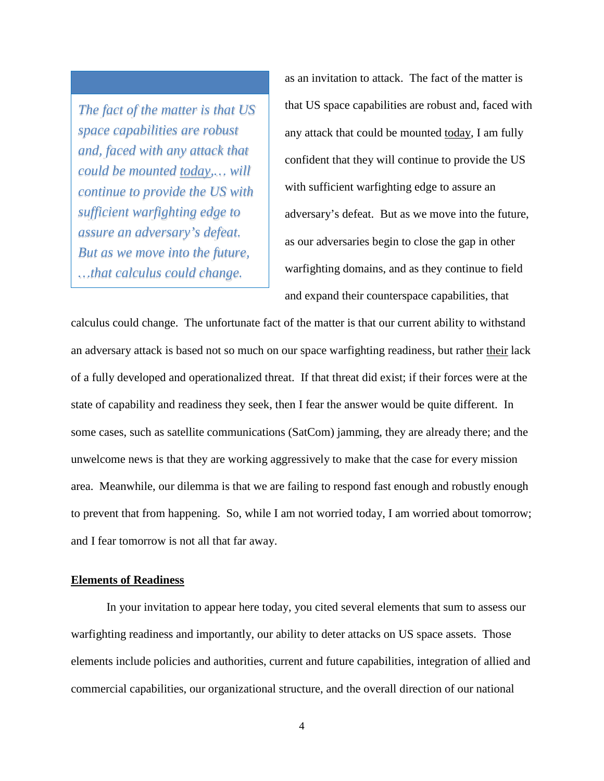*The fact of the matter is that US space capabilities are robust and, faced with any attack that could be mounted today,… will continue to provide the US with sufficient warfighting edge to assure an adversary's defeat. But as we move into the future, …that calculus could change.*

as an invitation to attack. The fact of the matter is that US space capabilities are robust and, faced with any attack that could be mounted today, I am fully confident that they will continue to provide the US with sufficient warfighting edge to assure an adversary's defeat. But as we move into the future, as our adversaries begin to close the gap in other warfighting domains, and as they continue to field and expand their counterspace capabilities, that

calculus could change. The unfortunate fact of the matter is that our current ability to withstand an adversary attack is based not so much on our space warfighting readiness, but rather their lack of a fully developed and operationalized threat. If that threat did exist; if their forces were at the state of capability and readiness they seek, then I fear the answer would be quite different. In some cases, such as satellite communications (SatCom) jamming, they are already there; and the unwelcome news is that they are working aggressively to make that the case for every mission area. Meanwhile, our dilemma is that we are failing to respond fast enough and robustly enough to prevent that from happening. So, while I am not worried today, I am worried about tomorrow; and I fear tomorrow is not all that far away.

## **Elements of Readiness**

In your invitation to appear here today, you cited several elements that sum to assess our warfighting readiness and importantly, our ability to deter attacks on US space assets. Those elements include policies and authorities, current and future capabilities, integration of allied and commercial capabilities, our organizational structure, and the overall direction of our national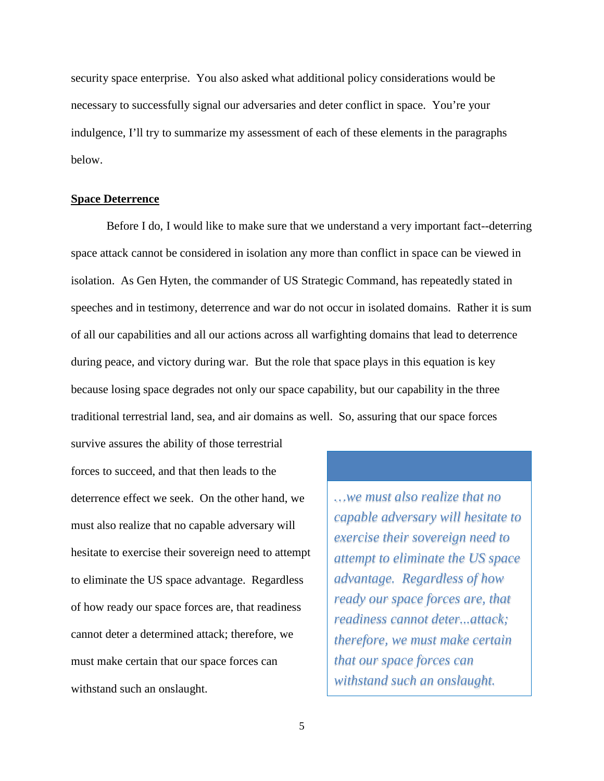security space enterprise. You also asked what additional policy considerations would be necessary to successfully signal our adversaries and deter conflict in space. You're your indulgence, I'll try to summarize my assessment of each of these elements in the paragraphs below.

#### **Space Deterrence**

Before I do, I would like to make sure that we understand a very important fact--deterring space attack cannot be considered in isolation any more than conflict in space can be viewed in isolation. As Gen Hyten, the commander of US Strategic Command, has repeatedly stated in speeches and in testimony, deterrence and war do not occur in isolated domains. Rather it is sum of all our capabilities and all our actions across all warfighting domains that lead to deterrence during peace, and victory during war. But the role that space plays in this equation is key because losing space degrades not only our space capability, but our capability in the three traditional terrestrial land, sea, and air domains as well. So, assuring that our space forces

survive assures the ability of those terrestrial forces to succeed, and that then leads to the deterrence effect we seek. On the other hand, we must also realize that no capable adversary will hesitate to exercise their sovereign need to attempt to eliminate the US space advantage. Regardless of how ready our space forces are, that readiness cannot deter a determined attack; therefore, we must make certain that our space forces can withstand such an onslaught.

*…we must also realize that no capable adversary will hesitate to exercise their sovereign need to attempt to eliminate the US space advantage. Regardless of how ready our space forces are, that readiness cannot deter...attack; therefore, we must make certain that our space forces can withstand such an onslaught.*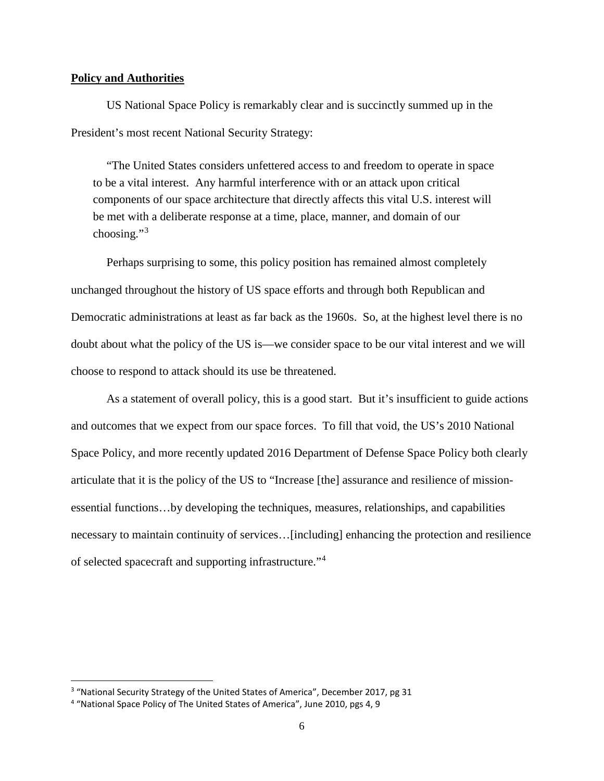## **Policy and Authorities**

US National Space Policy is remarkably clear and is succinctly summed up in the President's most recent National Security Strategy:

"The United States considers unfettered access to and freedom to operate in space to be a vital interest. Any harmful interference with or an attack upon critical components of our space architecture that directly affects this vital U.S. interest will be met with a deliberate response at a time, place, manner, and domain of our choosing."[3](#page-5-0)

Perhaps surprising to some, this policy position has remained almost completely unchanged throughout the history of US space efforts and through both Republican and Democratic administrations at least as far back as the 1960s. So, at the highest level there is no doubt about what the policy of the US is—we consider space to be our vital interest and we will choose to respond to attack should its use be threatened.

As a statement of overall policy, this is a good start. But it's insufficient to guide actions and outcomes that we expect from our space forces. To fill that void, the US's 2010 National Space Policy, and more recently updated 2016 Department of Defense Space Policy both clearly articulate that it is the policy of the US to "Increase [the] assurance and resilience of missionessential functions…by developing the techniques, measures, relationships, and capabilities necessary to maintain continuity of services…[including] enhancing the protection and resilience of selected spacecraft and supporting infrastructure."[4](#page-5-1)

<span id="page-5-0"></span><sup>&</sup>lt;sup>3</sup> "National Security Strategy of the United States of America", December 2017, pg 31

<span id="page-5-1"></span><sup>4</sup> "National Space Policy of The United States of America", June 2010, pgs 4, 9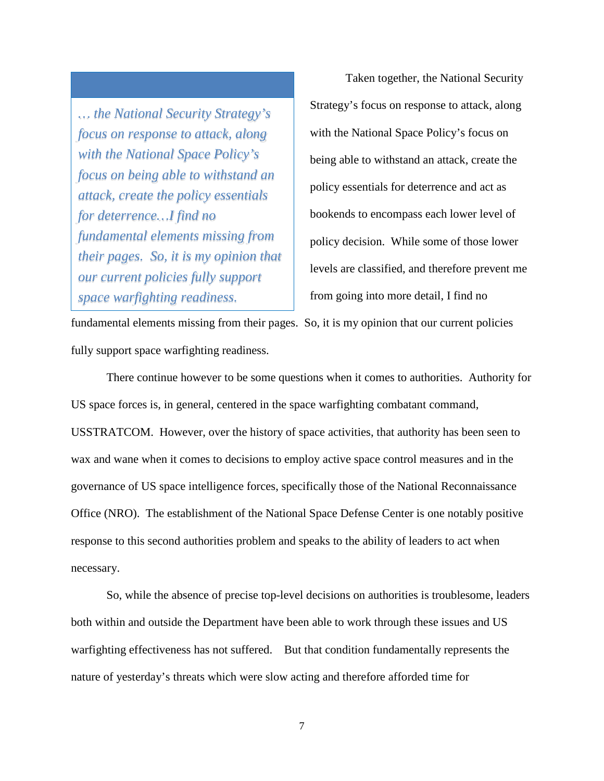*… the National Security Strategy's focus on response to attack, along with the National Space Policy's focus on being able to withstand an attack, create the policy essentials for deterrence…I find no fundamental elements missing from their pages. So, it is my opinion that our current policies fully support space warfighting readiness.*

Taken together, the National Security Strategy's focus on response to attack, along with the National Space Policy's focus on being able to withstand an attack, create the policy essentials for deterrence and act as bookends to encompass each lower level of policy decision. While some of those lower levels are classified, and therefore prevent me from going into more detail, I find no

fundamental elements missing from their pages. So, it is my opinion that our current policies fully support space warfighting readiness.

There continue however to be some questions when it comes to authorities. Authority for US space forces is, in general, centered in the space warfighting combatant command, USSTRATCOM. However, over the history of space activities, that authority has been seen to wax and wane when it comes to decisions to employ active space control measures and in the governance of US space intelligence forces, specifically those of the National Reconnaissance Office (NRO). The establishment of the National Space Defense Center is one notably positive response to this second authorities problem and speaks to the ability of leaders to act when necessary.

So, while the absence of precise top-level decisions on authorities is troublesome, leaders both within and outside the Department have been able to work through these issues and US warfighting effectiveness has not suffered. But that condition fundamentally represents the nature of yesterday's threats which were slow acting and therefore afforded time for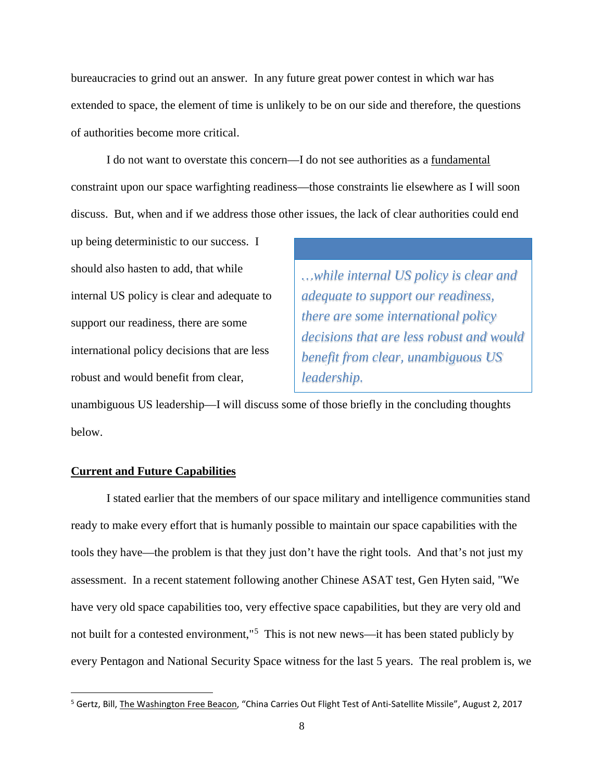bureaucracies to grind out an answer. In any future great power contest in which war has extended to space, the element of time is unlikely to be on our side and therefore, the questions of authorities become more critical.

I do not want to overstate this concern—I do not see authorities as a fundamental constraint upon our space warfighting readiness—those constraints lie elsewhere as I will soon discuss. But, when and if we address those other issues, the lack of clear authorities could end

up being deterministic to our success. I should also hasten to add, that while internal US policy is clear and adequate to support our readiness, there are some international policy decisions that are less robust and would benefit from clear,

*…while internal US policy is clear and adequate to support our readiness, there are some international policy decisions that are less robust and would benefit from clear, unambiguous US leadership.*

unambiguous US leadership—I will discuss some of those briefly in the concluding thoughts below.

## **Current and Future Capabilities**

I stated earlier that the members of our space military and intelligence communities stand ready to make every effort that is humanly possible to maintain our space capabilities with the tools they have—the problem is that they just don't have the right tools. And that's not just my assessment. In a recent statement following another Chinese ASAT test, Gen Hyten said, "We have very old space capabilities too, very effective space capabilities, but they are very old and not built for a contested environment,"<sup>[5](#page-7-0)</sup> This is not new news—it has been stated publicly by every Pentagon and National Security Space witness for the last 5 years. The real problem is, we

<span id="page-7-0"></span> <sup>5</sup> Gertz, Bill, The Washington Free Beacon, "China Carries Out Flight Test of Anti-Satellite Missile", August 2, 2017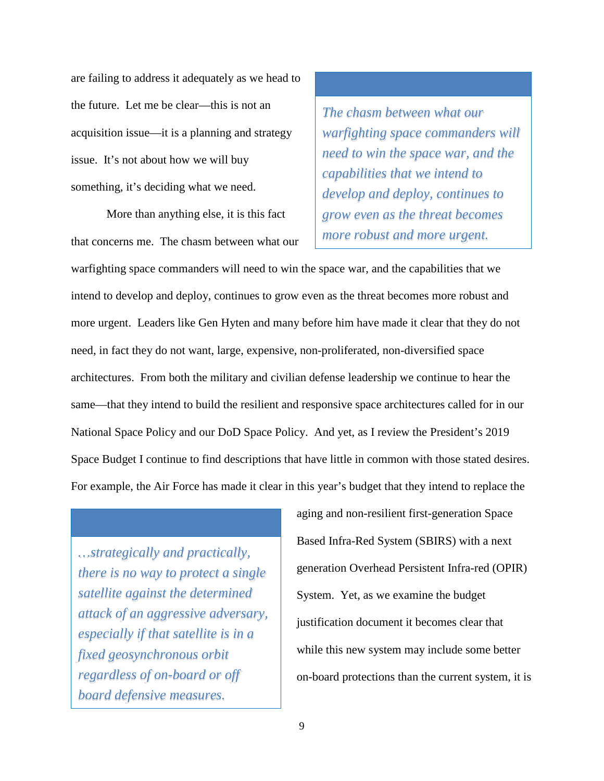are failing to address it adequately as we head to the future. Let me be clear—this is not an acquisition issue—it is a planning and strategy issue. It's not about how we will buy something, it's deciding what we need.

More than anything else, it is this fact that concerns me. The chasm between what our

*The chasm between what our warfighting space commanders will need to win the space war, and the capabilities that we intend to develop and deploy, continues to grow even as the threat becomes more robust and more urgent.*

warfighting space commanders will need to win the space war, and the capabilities that we intend to develop and deploy, continues to grow even as the threat becomes more robust and more urgent. Leaders like Gen Hyten and many before him have made it clear that they do not need, in fact they do not want, large, expensive, non-proliferated, non-diversified space architectures. From both the military and civilian defense leadership we continue to hear the same—that they intend to build the resilient and responsive space architectures called for in our National Space Policy and our DoD Space Policy. And yet, as I review the President's 2019 Space Budget I continue to find descriptions that have little in common with those stated desires. For example, the Air Force has made it clear in this year's budget that they intend to replace the

*…strategically and practically, there is no way to protect a single satellite against the determined attack of an aggressive adversary, especially if that satellite is in a fixed geosynchronous orbit regardless of on-board or off board defensive measures.*

aging and non-resilient first-generation Space Based Infra-Red System (SBIRS) with a next generation Overhead Persistent Infra-red (OPIR) System. Yet, as we examine the budget justification document it becomes clear that while this new system may include some better on-board protections than the current system, it is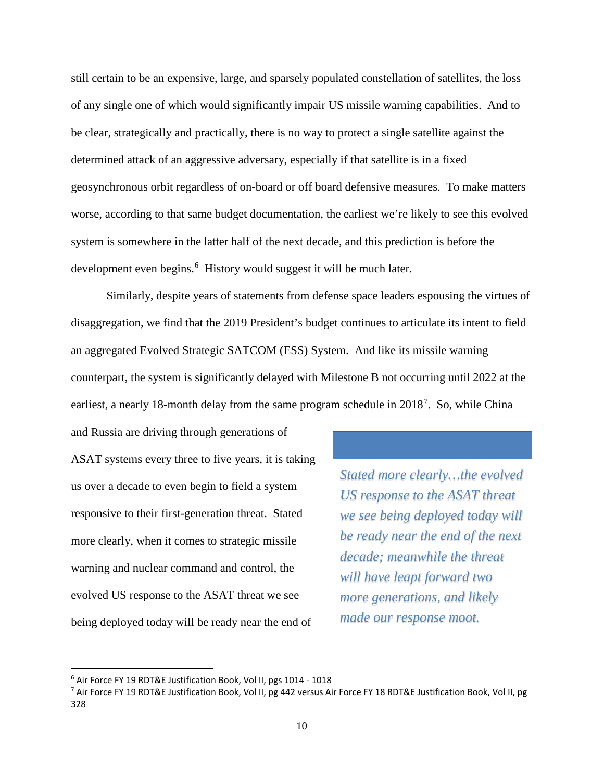still certain to be an expensive, large, and sparsely populated constellation of satellites, the loss of any single one of which would significantly impair US missile warning capabilities. And to be clear, strategically and practically, there is no way to protect a single satellite against the determined attack of an aggressive adversary, especially if that satellite is in a fixed geosynchronous orbit regardless of on-board or off board defensive measures. To make matters worse, according to that same budget documentation, the earliest we're likely to see this evolved system is somewhere in the latter half of the next decade, and this prediction is before the development even begins.<sup>[6](#page-9-0)</sup> History would suggest it will be much later.

Similarly, despite years of statements from defense space leaders espousing the virtues of disaggregation, we find that the 2019 President's budget continues to articulate its intent to field an aggregated Evolved Strategic SATCOM (ESS) System. And like its missile warning counterpart, the system is significantly delayed with Milestone B not occurring until 2022 at the earliest, a nearly 18-month delay from the same program schedule in 2018<sup>[7](#page-9-1)</sup>. So, while China

and Russia are driving through generations of ASAT systems every three to five years, it is taking us over a decade to even begin to field a system responsive to their first-generation threat. Stated more clearly, when it comes to strategic missile warning and nuclear command and control, the evolved US response to the ASAT threat we see being deployed today will be ready near the end of

*Stated more clearly…the evolved US response to the ASAT threat we see being deployed today will be ready near the end of the next decade; meanwhile the threat will have leapt forward two more generations, and likely made our response moot.*

<span id="page-9-0"></span> <sup>6</sup> Air Force FY 19 RDT&E Justification Book, Vol II, pgs 1014 - <sup>1018</sup>

<span id="page-9-1"></span><sup>&</sup>lt;sup>7</sup> Air Force FY 19 RDT&E Justification Book, Vol II, pg 442 versus Air Force FY 18 RDT&E Justification Book, Vol II, pg 328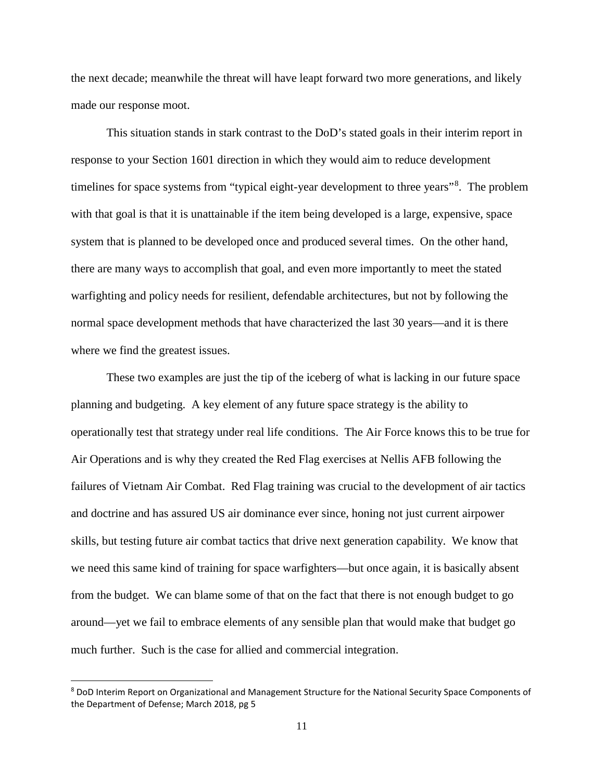the next decade; meanwhile the threat will have leapt forward two more generations, and likely made our response moot.

This situation stands in stark contrast to the DoD's stated goals in their interim report in response to your Section 1601 direction in which they would aim to reduce development timelines for space systems from "typical eight-year development to three years"<sup>[8](#page-10-0)</sup>. The problem with that goal is that it is unattainable if the item being developed is a large, expensive, space system that is planned to be developed once and produced several times. On the other hand, there are many ways to accomplish that goal, and even more importantly to meet the stated warfighting and policy needs for resilient, defendable architectures, but not by following the normal space development methods that have characterized the last 30 years—and it is there where we find the greatest issues.

These two examples are just the tip of the iceberg of what is lacking in our future space planning and budgeting. A key element of any future space strategy is the ability to operationally test that strategy under real life conditions. The Air Force knows this to be true for Air Operations and is why they created the Red Flag exercises at Nellis AFB following the failures of Vietnam Air Combat. Red Flag training was crucial to the development of air tactics and doctrine and has assured US air dominance ever since, honing not just current airpower skills, but testing future air combat tactics that drive next generation capability. We know that we need this same kind of training for space warfighters—but once again, it is basically absent from the budget. We can blame some of that on the fact that there is not enough budget to go around—yet we fail to embrace elements of any sensible plan that would make that budget go much further. Such is the case for allied and commercial integration.

<span id="page-10-0"></span> <sup>8</sup> DoD Interim Report on Organizational and Management Structure for the National Security Space Components of the Department of Defense; March 2018, pg 5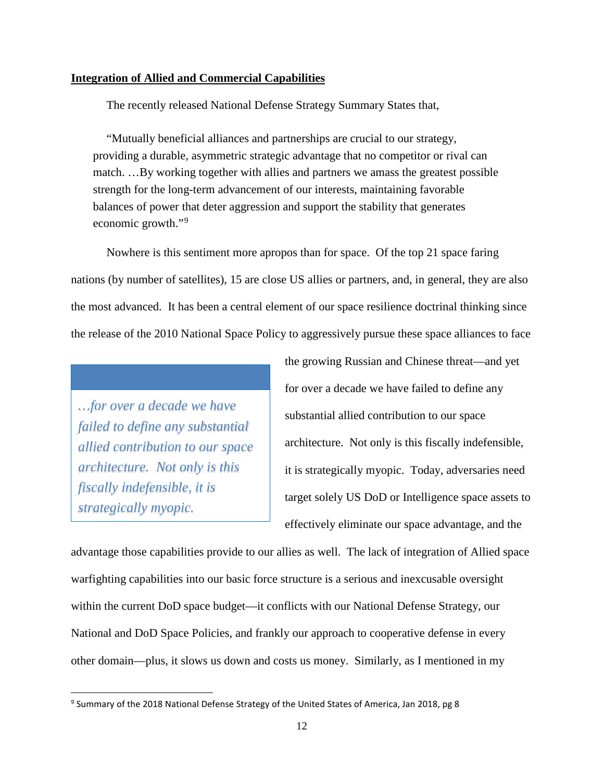## **Integration of Allied and Commercial Capabilities**

The recently released National Defense Strategy Summary States that,

"Mutually beneficial alliances and partnerships are crucial to our strategy, providing a durable, asymmetric strategic advantage that no competitor or rival can match. …By working together with allies and partners we amass the greatest possible strength for the long-term advancement of our interests, maintaining favorable balances of power that deter aggression and support the stability that generates economic growth."[9](#page-11-0)

Nowhere is this sentiment more apropos than for space. Of the top 21 space faring nations (by number of satellites), 15 are close US allies or partners, and, in general, they are also the most advanced. It has been a central element of our space resilience doctrinal thinking since the release of the 2010 National Space Policy to aggressively pursue these space alliances to face

*…for over a decade we have failed to define any substantial allied contribution to our space architecture. Not only is this fiscally indefensible, it is strategically myopic.*

the growing Russian and Chinese threat—and yet for over a decade we have failed to define any substantial allied contribution to our space architecture. Not only is this fiscally indefensible, it is strategically myopic. Today, adversaries need target solely US DoD or Intelligence space assets to effectively eliminate our space advantage, and the

advantage those capabilities provide to our allies as well. The lack of integration of Allied space warfighting capabilities into our basic force structure is a serious and inexcusable oversight within the current DoD space budget—it conflicts with our National Defense Strategy, our National and DoD Space Policies, and frankly our approach to cooperative defense in every other domain—plus, it slows us down and costs us money. Similarly, as I mentioned in my

<span id="page-11-0"></span> <sup>9</sup> Summary of the 2018 National Defense Strategy of the United States of America, Jan 2018, pg <sup>8</sup>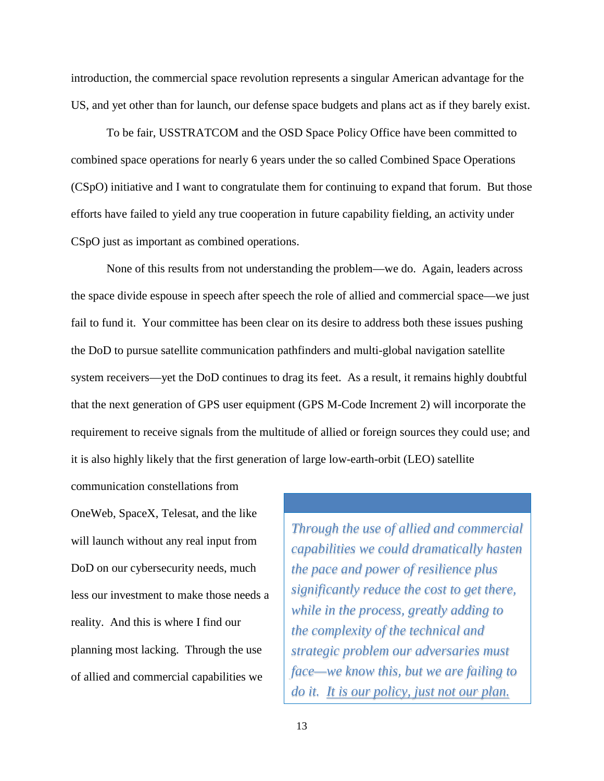introduction, the commercial space revolution represents a singular American advantage for the US, and yet other than for launch, our defense space budgets and plans act as if they barely exist.

To be fair, USSTRATCOM and the OSD Space Policy Office have been committed to combined space operations for nearly 6 years under the so called Combined Space Operations (CSpO) initiative and I want to congratulate them for continuing to expand that forum. But those efforts have failed to yield any true cooperation in future capability fielding, an activity under CSpO just as important as combined operations.

None of this results from not understanding the problem—we do. Again, leaders across the space divide espouse in speech after speech the role of allied and commercial space—we just fail to fund it. Your committee has been clear on its desire to address both these issues pushing the DoD to pursue satellite communication pathfinders and multi-global navigation satellite system receivers—yet the DoD continues to drag its feet. As a result, it remains highly doubtful that the next generation of GPS user equipment (GPS M-Code Increment 2) will incorporate the requirement to receive signals from the multitude of allied or foreign sources they could use; and it is also highly likely that the first generation of large low-earth-orbit (LEO) satellite

OneWeb, SpaceX, Telesat, and the like will launch without any real input from DoD on our cybersecurity needs, much less our investment to make those needs a reality. And this is where I find our planning most lacking. Through the use of allied and commercial capabilities we

communication constellations from

*Through the use of allied and commercial capabilities we could dramatically hasten the pace and power of resilience plus significantly reduce the cost to get there, while in the process, greatly adding to the complexity of the technical and strategic problem our adversaries must face—we know this, but we are failing to do it. It is our policy, just not our plan.*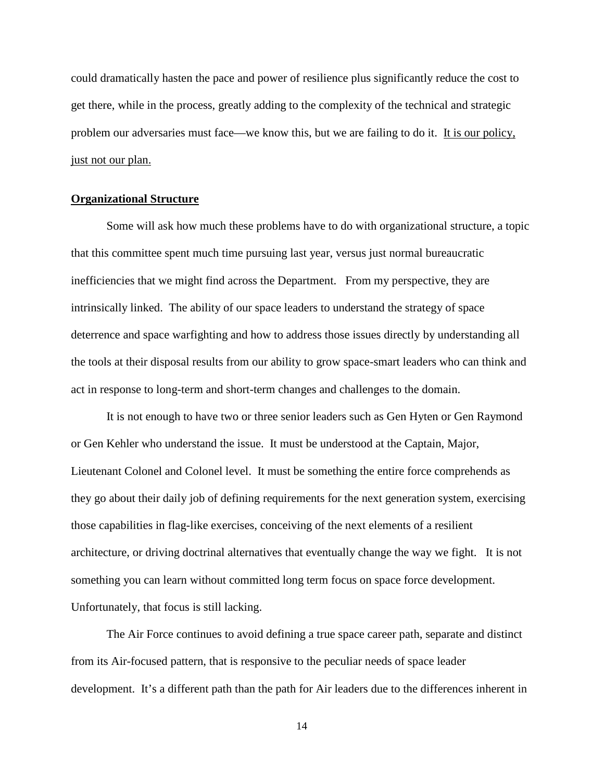could dramatically hasten the pace and power of resilience plus significantly reduce the cost to get there, while in the process, greatly adding to the complexity of the technical and strategic problem our adversaries must face—we know this, but we are failing to do it. It is our policy, just not our plan.

### **Organizational Structure**

Some will ask how much these problems have to do with organizational structure, a topic that this committee spent much time pursuing last year, versus just normal bureaucratic inefficiencies that we might find across the Department. From my perspective, they are intrinsically linked. The ability of our space leaders to understand the strategy of space deterrence and space warfighting and how to address those issues directly by understanding all the tools at their disposal results from our ability to grow space-smart leaders who can think and act in response to long-term and short-term changes and challenges to the domain.

It is not enough to have two or three senior leaders such as Gen Hyten or Gen Raymond or Gen Kehler who understand the issue. It must be understood at the Captain, Major, Lieutenant Colonel and Colonel level. It must be something the entire force comprehends as they go about their daily job of defining requirements for the next generation system, exercising those capabilities in flag-like exercises, conceiving of the next elements of a resilient architecture, or driving doctrinal alternatives that eventually change the way we fight. It is not something you can learn without committed long term focus on space force development. Unfortunately, that focus is still lacking.

The Air Force continues to avoid defining a true space career path, separate and distinct from its Air-focused pattern, that is responsive to the peculiar needs of space leader development. It's a different path than the path for Air leaders due to the differences inherent in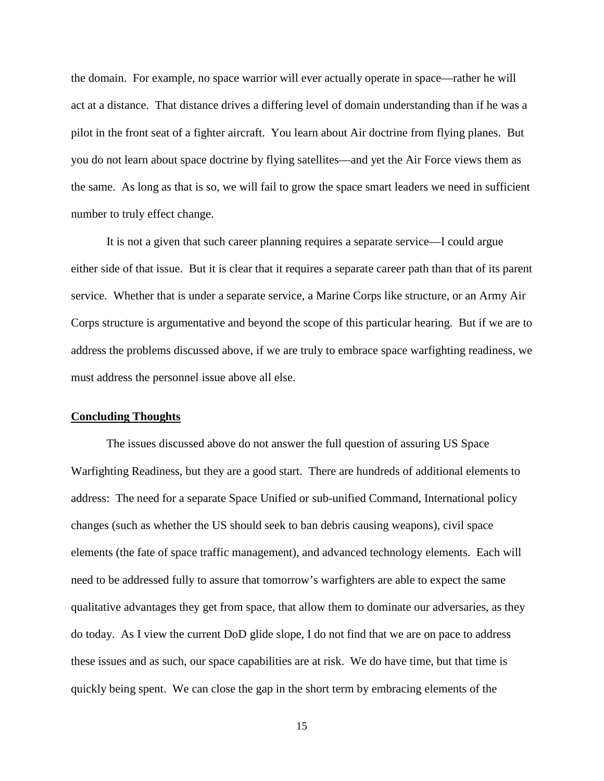the domain. For example, no space warrior will ever actually operate in space—rather he will act at a distance. That distance drives a differing level of domain understanding than if he was a pilot in the front seat of a fighter aircraft. You learn about Air doctrine from flying planes. But you do not learn about space doctrine by flying satellites—and yet the Air Force views them as the same. As long as that is so, we will fail to grow the space smart leaders we need in sufficient number to truly effect change.

It is not a given that such career planning requires a separate service—I could argue either side of that issue. But it is clear that it requires a separate career path than that of its parent service. Whether that is under a separate service, a Marine Corps like structure, or an Army Air Corps structure is argumentative and beyond the scope of this particular hearing. But if we are to address the problems discussed above, if we are truly to embrace space warfighting readiness, we must address the personnel issue above all else.

#### **Concluding Thoughts**

The issues discussed above do not answer the full question of assuring US Space Warfighting Readiness, but they are a good start. There are hundreds of additional elements to address: The need for a separate Space Unified or sub-unified Command, International policy changes (such as whether the US should seek to ban debris causing weapons), civil space elements (the fate of space traffic management), and advanced technology elements. Each will need to be addressed fully to assure that tomorrow's warfighters are able to expect the same qualitative advantages they get from space, that allow them to dominate our adversaries, as they do today. As I view the current DoD glide slope, I do not find that we are on pace to address these issues and as such, our space capabilities are at risk. We do have time, but that time is quickly being spent. We can close the gap in the short term by embracing elements of the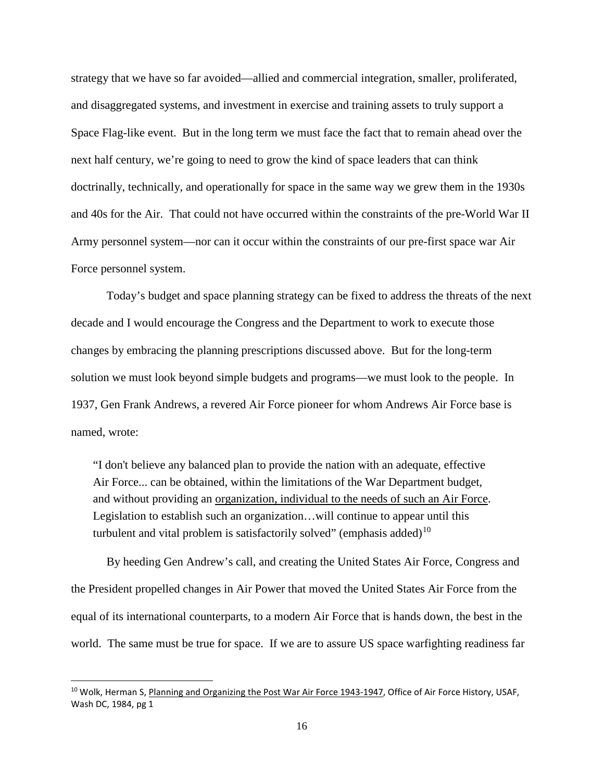strategy that we have so far avoided—allied and commercial integration, smaller, proliferated, and disaggregated systems, and investment in exercise and training assets to truly support a Space Flag-like event. But in the long term we must face the fact that to remain ahead over the next half century, we're going to need to grow the kind of space leaders that can think doctrinally, technically, and operationally for space in the same way we grew them in the 1930s and 40s for the Air. That could not have occurred within the constraints of the pre-World War II Army personnel system—nor can it occur within the constraints of our pre-first space war Air Force personnel system.

Today's budget and space planning strategy can be fixed to address the threats of the next decade and I would encourage the Congress and the Department to work to execute those changes by embracing the planning prescriptions discussed above. But for the long-term solution we must look beyond simple budgets and programs—we must look to the people. In 1937, Gen Frank Andrews, a revered Air Force pioneer for whom Andrews Air Force base is named, wrote:

"I don't believe any balanced plan to provide the nation with an adequate, effective Air Force... can be obtained, within the limitations of the War Department budget, and without providing an organization, individual to the needs of such an Air Force. Legislation to establish such an organization…will continue to appear until this turbulent and vital problem is satisfactorily solved" (emphasis added)<sup>[10](#page-15-0)</sup>

By heeding Gen Andrew's call, and creating the United States Air Force, Congress and the President propelled changes in Air Power that moved the United States Air Force from the equal of its international counterparts, to a modern Air Force that is hands down, the best in the world. The same must be true for space. If we are to assure US space warfighting readiness far

<span id="page-15-0"></span><sup>&</sup>lt;sup>10</sup> Wolk, Herman S, Planning and Organizing the Post War Air Force 1943-1947, Office of Air Force History, USAF, Wash DC, 1984, pg 1